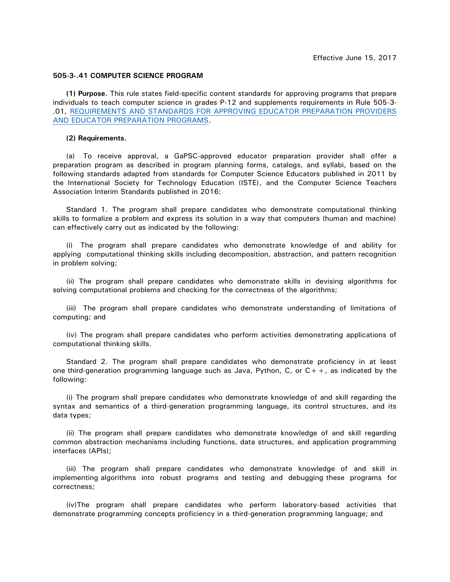## **505-3-.41 COMPUTER SCIENCE PROGRAM**

**(1) Purpose.** This rule states field-specific content standards for approving programs that prepare individuals to teach computer science in grades P-12 and supplements requirements in Rule 505-3- .01, [REQUIREMENTS AND STANDARDS FOR APPROVING EDUCATOR PREPARATION PROVIDERS](https://www.gapsc.com/Rules/Current/EducatorPreparation/505-3-.01.pdf?dt=636324456900468392)  [AND EDUCATOR PREPARATION PROGRAMS.](https://www.gapsc.com/Rules/Current/EducatorPreparation/505-3-.01.pdf?dt=636324456900468392)

## **(2) Requirements.**

(a) To receive approval, a GaPSC-approved educator preparation provider shall offer a preparation program as described in program planning forms, catalogs, and syllabi, based on the following standards adapted from standards for Computer Science Educators published in 2011 by the International Society for Technology Education (ISTE), and the Computer Science Teachers Association Interim Standards published in 2016:

Standard 1. The program shall prepare candidates who demonstrate computational thinking skills to formalize a problem and express its solution in a way that computers (human and machine) can effectively carry out as indicated by the following:

(i) The program shall prepare candidates who demonstrate knowledge of and ability for applying computational thinking skills including decomposition, abstraction, and pattern recognition in problem solving;

(ii) The program shall prepare candidates who demonstrate skills in devising algorithms for solving computational problems and checking for the correctness of the algorithms;

(iii) The program shall prepare candidates who demonstrate understanding of limitations of computing; and

(iv) The program shall prepare candidates who perform activities demonstrating applications of computational thinking skills.

Standard 2. The program shall prepare candidates who demonstrate proficiency in at least one third-generation programming language such as Java, Python, C, or  $C_{+}$  +, as indicated by the following:

(i) The program shall prepare candidates who demonstrate knowledge of and skill regarding the syntax and semantics of a third-generation programming language, its control structures, and its data types;

(ii) The program shall prepare candidates who demonstrate knowledge of and skill regarding common abstraction mechanisms including functions, data structures, and application programming interfaces (APIs);

(iii) The program shall prepare candidates who demonstrate knowledge of and skill in implementing algorithms into robust programs and testing and debugging these programs for correctness;

(iv)The program shall prepare candidates who perform laboratory-based activities that demonstrate programming concepts proficiency in a third-generation programming language; and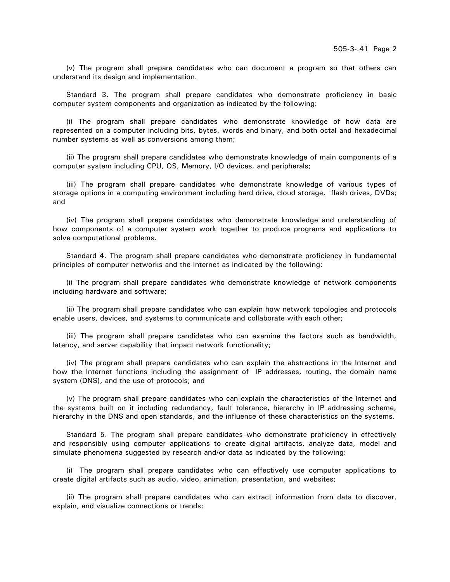(v) The program shall prepare candidates who can document a program so that others can understand its design and implementation.

Standard 3. The program shall prepare candidates who demonstrate proficiency in basic computer system components and organization as indicated by the following:

(i) The program shall prepare candidates who demonstrate knowledge of how data are represented on a computer including bits, bytes, words and binary, and both octal and hexadecimal number systems as well as conversions among them;

(ii) The program shall prepare candidates who demonstrate knowledge of main components of a computer system including CPU, OS, Memory, I/O devices, and peripherals;

(iii) The program shall prepare candidates who demonstrate knowledge of various types of storage options in a computing environment including hard drive, cloud storage, flash drives, DVDs; and

(iv) The program shall prepare candidates who demonstrate knowledge and understanding of how components of a computer system work together to produce programs and applications to solve computational problems.

Standard 4. The program shall prepare candidates who demonstrate proficiency in fundamental principles of computer networks and the Internet as indicated by the following:

(i) The program shall prepare candidates who demonstrate knowledge of network components including hardware and software;

(ii) The program shall prepare candidates who can explain how network topologies and protocols enable users, devices, and systems to communicate and collaborate with each other;

(iii) The program shall prepare candidates who can examine the factors such as bandwidth, latency, and server capability that impact network functionality;

(iv) The program shall prepare candidates who can explain the abstractions in the Internet and how the Internet functions including the assignment of IP addresses, routing, the domain name system (DNS), and the use of protocols; and

(v) The program shall prepare candidates who can explain the characteristics of the Internet and the systems built on it including redundancy, fault tolerance, hierarchy in IP addressing scheme, hierarchy in the DNS and open standards, and the influence of these characteristics on the systems.

Standard 5. The program shall prepare candidates who demonstrate proficiency in effectively and responsibly using computer applications to create digital artifacts, analyze data, model and simulate phenomena suggested by research and/or data as indicated by the following:

(i) The program shall prepare candidates who can effectively use computer applications to create digital artifacts such as audio, video, animation, presentation, and websites;

(ii) The program shall prepare candidates who can extract information from data to discover, explain, and visualize connections or trends;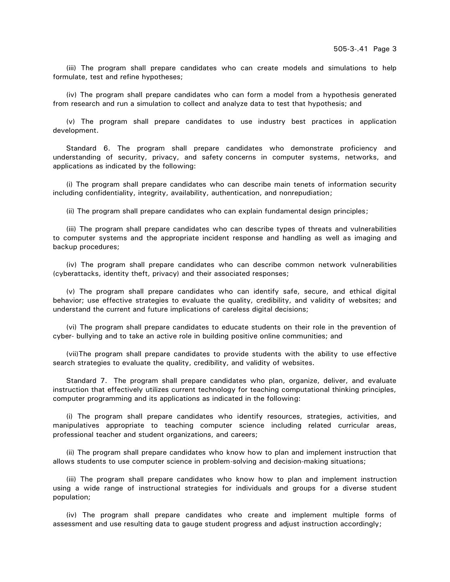(iii) The program shall prepare candidates who can create models and simulations to help formulate, test and refine hypotheses;

(iv) The program shall prepare candidates who can form a model from a hypothesis generated from research and run a simulation to collect and analyze data to test that hypothesis; and

(v) The program shall prepare candidates to use industry best practices in application development.

Standard 6. The program shall prepare candidates who demonstrate proficiency and understanding of security, privacy, and safety concerns in computer systems, networks, and applications as indicated by the following:

(i) The program shall prepare candidates who can describe main tenets of information security including confidentiality, integrity, availability, authentication, and nonrepudiation;

(ii) The program shall prepare candidates who can explain fundamental design principles;

(iii) The program shall prepare candidates who can describe types of threats and vulnerabilities to computer systems and the appropriate incident response and handling as well as imaging and backup procedures;

(iv) The program shall prepare candidates who can describe common network vulnerabilities (cyberattacks, identity theft, privacy) and their associated responses;

(v) The program shall prepare candidates who can identify safe, secure, and ethical digital behavior; use effective strategies to evaluate the quality, credibility, and validity of websites; and understand the current and future implications of careless digital decisions;

(vi) The program shall prepare candidates to educate students on their role in the prevention of cyber- bullying and to take an active role in building positive online communities; and

(vii)The program shall prepare candidates to provide students with the ability to use effective search strategies to evaluate the quality, credibility, and validity of websites.

Standard 7. The program shall prepare candidates who plan, organize, deliver, and evaluate instruction that effectively utilizes current technology for teaching computational thinking principles, computer programming and its applications as indicated in the following:

(i) The program shall prepare candidates who identify resources, strategies, activities, and manipulatives appropriate to teaching computer science including related curricular areas, professional teacher and student organizations, and careers;

(ii) The program shall prepare candidates who know how to plan and implement instruction that allows students to use computer science in problem-solving and decision-making situations;

(iii) The program shall prepare candidates who know how to plan and implement instruction using a wide range of instructional strategies for individuals and groups for a diverse student population;

(iv) The program shall prepare candidates who create and implement multiple forms of assessment and use resulting data to gauge student progress and adjust instruction accordingly;